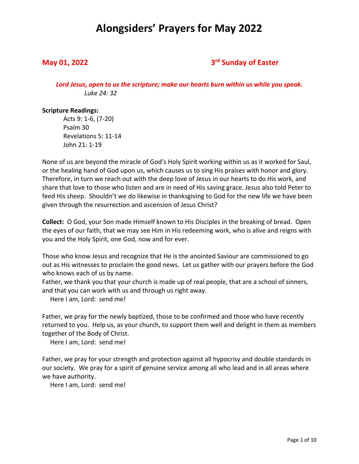### **May 01, 2022 3rd Sunday of Easter**

*Lord Jesus, open to us the scripture; make our hearts burn within us while you speak. Luke 24: 32*

#### **Scripture Readings:**

Acts 9: 1-6, (7-20) Psalm 30 Revelations 5: 11-14 John 21: 1-19

None of us are beyond the miracle of God's Holy Spirit working within us as it worked for Saul, or the healing hand of God upon us, which causes us to sing His praises with honor and glory. Therefore, in turn we reach out with the deep love of Jesus in our hearts to do His work, and share that love to those who listen and are in need of His saving grace. Jesus also told Peter to feed His sheep. Shouldn't we do likewise in thanksgiving to God for the new life we have been given through the resurrection and ascension of Jesus Christ?

**Collect:** O God, your Son made Himself known to His Disciples in the breaking of bread. Open the eyes of our faith, that we may see Him in His redeeming work, who is alive and reigns with you and the Holy Spirit, one God, now and for ever.

Those who know Jesus and recognize that He is the anointed Saviour are commissioned to go out as His witnesses to proclaim the good news. Let us gather with our prayers before the God who knows each of us by name.

Father, we thank you that your church is made up of real people, that are a school of sinners, and that you can work with us and through us right away.

Here I am, Lord: send me!

Father, we pray for the newly baptized, those to be confirmed and those who have recently returned to you. Help us, as your church, to support them well and delight in them as members together of the Body of Christ.

Here I am, Lord: send me!

Father, we pray for your strength and protection against all hypocrisy and double standards in our society. We pray for a spirit of genuine service among all who lead and in all areas where we have authority.

Here I am, Lord: send me!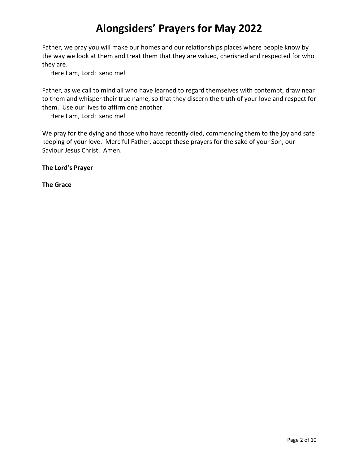Father, we pray you will make our homes and our relationships places where people know by the way we look at them and treat them that they are valued, cherished and respected for who they are.

Here I am, Lord: send me!

Father, as we call to mind all who have learned to regard themselves with contempt, draw near to them and whisper their true name, so that they discern the truth of your love and respect for them. Use our lives to affirm one another.

Here I am, Lord: send me!

We pray for the dying and those who have recently died, commending them to the joy and safe keeping of your love. Merciful Father, accept these prayers for the sake of your Son, our Saviour Jesus Christ. Amen.

**The Lord's Prayer**

**The Grace**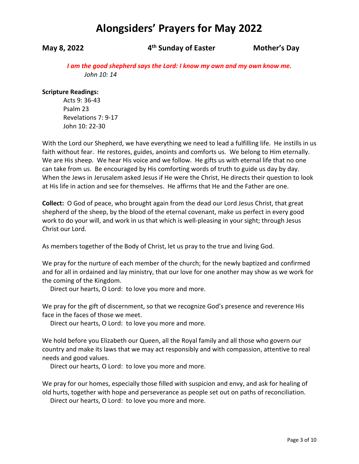**May 8, 2022 4th Sunday of Easter Mother's Day**

*I am the good shepherd says the Lord: I know my own and my own know me. John 10: 14*

### **Scripture Readings:**

Acts 9: 36-43 Psalm 23 Revelations 7: 9-17 John 10: 22-30

With the Lord our Shepherd, we have everything we need to lead a fulfilling life. He instills in us faith without fear. He restores, guides, anoints and comforts us. We belong to Him eternally. We are His sheep. We hear His voice and we follow. He gifts us with eternal life that no one can take from us. Be encouraged by His comforting words of truth to guide us day by day. When the Jews in Jerusalem asked Jesus if He were the Christ, He directs their question to look at His life in action and see for themselves. He affirms that He and the Father are one.

**Collect:** O God of peace, who brought again from the dead our Lord Jesus Christ, that great shepherd of the sheep, by the blood of the eternal covenant, make us perfect in every good work to do your will, and work in us that which is well-pleasing in your sight; through Jesus Christ our Lord.

As members together of the Body of Christ, let us pray to the true and living God.

We pray for the nurture of each member of the church; for the newly baptized and confirmed and for all in ordained and lay ministry, that our love for one another may show as we work for the coming of the Kingdom.

Direct our hearts, O Lord: to love you more and more.

We pray for the gift of discernment, so that we recognize God's presence and reverence His face in the faces of those we meet.

Direct our hearts, O Lord: to love you more and more.

We hold before you Elizabeth our Queen, all the Royal family and all those who govern our country and make its laws that we may act responsibly and with compassion, attentive to real needs and good values.

Direct our hearts, O Lord: to love you more and more.

We pray for our homes, especially those filled with suspicion and envy, and ask for healing of old hurts, together with hope and perseverance as people set out on paths of reconciliation.

Direct our hearts, O Lord: to love you more and more.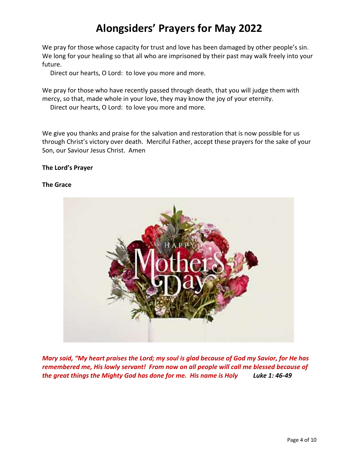We pray for those whose capacity for trust and love has been damaged by other people's sin. We long for your healing so that all who are imprisoned by their past may walk freely into your future.

Direct our hearts, O Lord: to love you more and more.

We pray for those who have recently passed through death, that you will judge them with mercy, so that, made whole in your love, they may know the joy of your eternity.

Direct our hearts, O Lord: to love you more and more.

We give you thanks and praise for the salvation and restoration that is now possible for us through Christ's victory over death. Merciful Father, accept these prayers for the sake of your Son, our Saviour Jesus Christ. Amen

### **The Lord's Prayer**

### **The Grace**



*Mary said, "My heart praises the Lord; my soul is glad because of God my Savior, for He has remembered me, His lowly servant! From now on all people will call me blessed because of the great things the Mighty God has done for me. His name is Holy Luke 1: 46-49*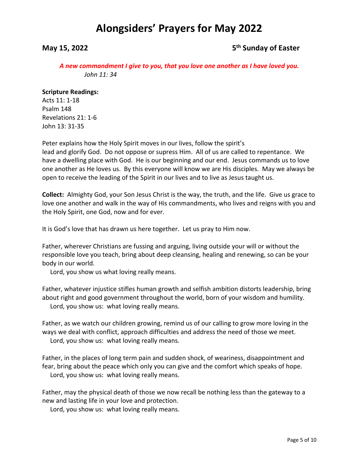**May 15, 2022 5th Sunday of Easter**

*A new commandment I give to you, that you love one another as I have loved you. John 11: 34*

#### **Scripture Readings:**

Acts 11: 1-18 Psalm 148 Revelations 21: 1-6 John 13: 31-35

Peter explains how the Holy Spirit moves in our lives, follow the spirit's

lead and glorify God. Do not oppose or supress Him. All of us are called to repentance. We have a dwelling place with God. He is our beginning and our end. Jesus commands us to love one another as He loves us. By this everyone will know we are His disciples. May we always be open to receive the leading of the Spirit in our lives and to live as Jesus taught us.

**Collect:** Almighty God, your Son Jesus Christ is the way, the truth, and the life. Give us grace to love one another and walk in the way of His commandments, who lives and reigns with you and the Holy Spirit, one God, now and for ever.

It is God's love that has drawn us here together. Let us pray to Him now.

Father, wherever Christians are fussing and arguing, living outside your will or without the responsible love you teach, bring about deep cleansing, healing and renewing, so can be your body in our world.

Lord, you show us what loving really means.

Father, whatever injustice stifles human growth and selfish ambition distorts leadership, bring about right and good government throughout the world, born of your wisdom and humility. Lord, you show us: what loving really means.

Father, as we watch our children growing, remind us of our calling to grow more loving in the ways we deal with conflict, approach difficulties and address the need of those we meet. Lord, you show us: what loving really means.

Father, in the places of long term pain and sudden shock, of weariness, disappointment and fear, bring about the peace which only you can give and the comfort which speaks of hope. Lord, you show us: what loving really means.

Father, may the physical death of those we now recall be nothing less than the gateway to a new and lasting life in your love and protection.

Lord, you show us: what loving really means.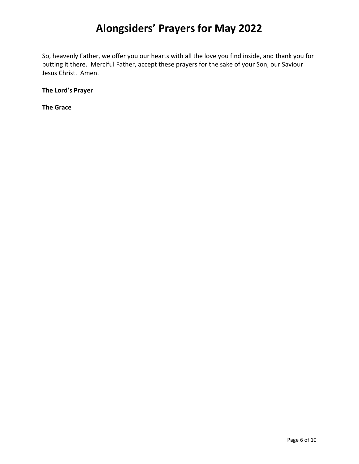So, heavenly Father, we offer you our hearts with all the love you find inside, and thank you for putting it there. Merciful Father, accept these prayers for the sake of your Son, our Saviour Jesus Christ. Amen.

**The Lord's Prayer**

**The Grace**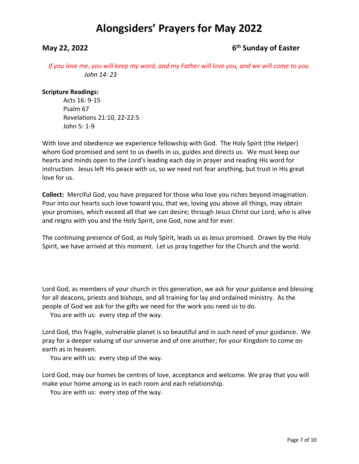### **May 22, 2022 6th Sunday of Easter**

*If you love me, you will keep my word, and my Father will love you, and we will come to you. John 14: 23*

### **Scripture Readings:**

Acts 16: 9-15 Psalm 67 Revelations 21:10, 22-22:5 John 5: 1-9

With love and obedience we experience fellowship with God. The Holy Spirit (the Helper) whom God promised and sent to us dwells in us, guides and directs us. We must keep our hearts and minds open to the Lord's leading each day in prayer and reading His word for instruction. Jesus left His peace with us, so we need not fear anything, but trust in His great love for us.

**Collect:** Merciful God, you have prepared for those who love you riches beyond imagination. Pour into our hearts such love toward you, that we, loving you above all things, may obtain your promises, which exceed all that we can desire; through Jesus Christ our Lord, who is alive and reigns with you and the Holy Spirit, one God, now and for ever.

The continuing presence of God, as Holy Spirit, leads us as Jesus promised. Drawn by the Holy Spirit, we have arrived at this moment. Let us pray together for the Church and the world.

Lord God, as members of your church in this generation, we ask for your guidance and blessing for all deacons, priests and bishops, and all training for lay and ordained ministry. As the people of God we ask for the gifts we need for the work you need us to do.

You are with us: every step of the way.

Lord God, this fragile, vulnerable planet is so beautiful and in such need of your guidance. We pray for a deeper valuing of our universe and of one another; for your Kingdom to come on earth as in heaven.

You are with us: every step of the way.

Lord God, may our homes be centres of love, acceptance and welcome. We pray that you will make your home among us in each room and each relationship.

You are with us: every step of the way.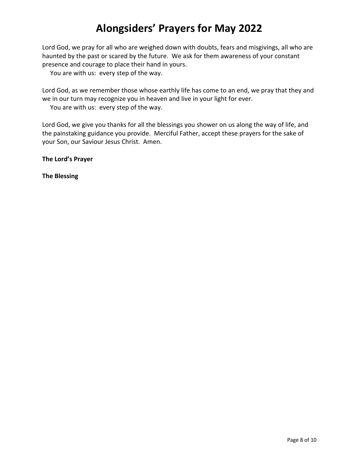Lord God, we pray for all who are weighed down with doubts, fears and misgivings, all who are haunted by the past or scared by the future. We ask for them awareness of your constant presence and courage to place their hand in yours.

You are with us: every step of the way.

Lord God, as we remember those whose earthly life has come to an end, we pray that they and we in our turn may recognize you in heaven and live in your light for ever.

You are with us: every step of the way.

Lord God, we give you thanks for all the blessings you shower on us along the way of life, and the painstaking guidance you provide. Merciful Father, accept these prayers for the sake of your Son, our Saviour Jesus Christ. Amen.

**The Lord's Prayer**

**The Blessing**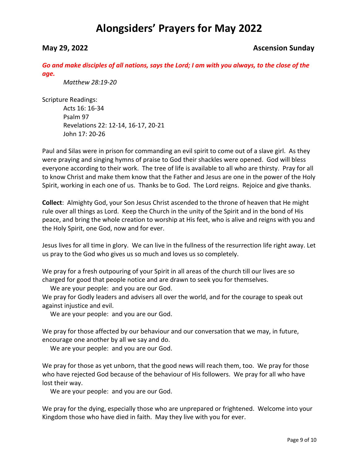### **May 29, 2022 Ascension Sunday**

*Go and make disciples of all nations, says the Lord; I am with you always, to the close of the age.*

*Matthew 28:19-20*

Scripture Readings:

Acts 16: 16-34 Psalm 97 Revelations 22: 12-14, 16-17, 20-21 John 17: 20-26

Paul and Silas were in prison for commanding an evil spirit to come out of a slave girl. As they were praying and singing hymns of praise to God their shackles were opened. God will bless everyone according to their work. The tree of life is available to all who are thirsty. Pray for all to know Christ and make them know that the Father and Jesus are one in the power of the Holy Spirit, working in each one of us. Thanks be to God. The Lord reigns. Rejoice and give thanks.

**Collect**: Almighty God, your Son Jesus Christ ascended to the throne of heaven that He might rule over all things as Lord. Keep the Church in the unity of the Spirit and in the bond of His peace, and bring the whole creation to worship at His feet, who is alive and reigns with you and the Holy Spirit, one God, now and for ever.

Jesus lives for all time in glory. We can live in the fullness of the resurrection life right away. Let us pray to the God who gives us so much and loves us so completely.

We pray for a fresh outpouring of your Spirit in all areas of the church till our lives are so charged for good that people notice and are drawn to seek you for themselves.

We are your people: and you are our God.

We pray for Godly leaders and advisers all over the world, and for the courage to speak out against injustice and evil.

We are your people: and you are our God.

We pray for those affected by our behaviour and our conversation that we may, in future, encourage one another by all we say and do.

We are your people: and you are our God.

We pray for those as yet unborn, that the good news will reach them, too. We pray for those who have rejected God because of the behaviour of His followers. We pray for all who have lost their way.

We are your people: and you are our God.

We pray for the dying, especially those who are unprepared or frightened. Welcome into your Kingdom those who have died in faith. May they live with you for ever.